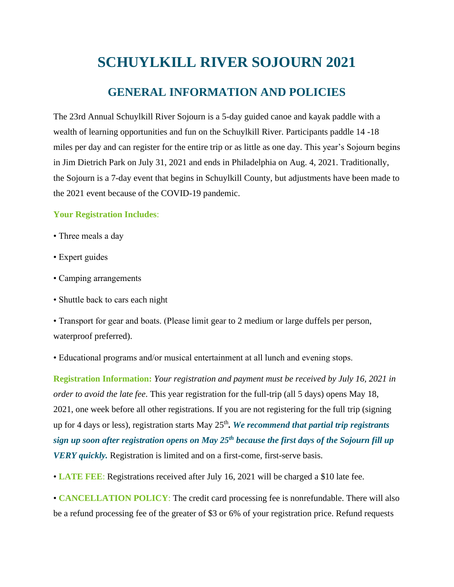## **SCHUYLKILL RIVER SOJOURN 2021**

## **GENERAL INFORMATION AND POLICIES**

The 23rd Annual Schuylkill River Sojourn is a 5-day guided canoe and kayak paddle with a wealth of learning opportunities and fun on the Schuylkill River. Participants paddle 14 -18 miles per day and can register for the entire trip or as little as one day. This year's Sojourn begins in Jim Dietrich Park on July 31, 2021 and ends in Philadelphia on Aug. 4, 2021. Traditionally, the Sojourn is a 7-day event that begins in Schuylkill County, but adjustments have been made to the 2021 event because of the COVID-19 pandemic.

## **Your Registration Includes**:

- Three meals a day
- Expert guides
- Camping arrangements
- Shuttle back to cars each night

• Transport for gear and boats. (Please limit gear to 2 medium or large duffels per person, waterproof preferred).

• Educational programs and/or musical entertainment at all lunch and evening stops.

**Registration Information:** *Your registration and payment must be received by July 16, 2021 in order to avoid the late fee*. This year registration for the full-trip (all 5 days) opens May 18, 2021, one week before all other registrations. If you are not registering for the full trip (signing up for 4 days or less), registration starts May 25th *. We recommend that partial trip registrants sign up soon after registration opens on May 25th because the first days of the Sojourn fill up VERY quickly.* Registration is limited and on a first-come, first-serve basis.

• **LATE FEE**: Registrations received after July 16, 2021 will be charged a \$10 late fee.

• **CANCELLATION POLICY**: The credit card processing fee is nonrefundable. There will also be a refund processing fee of the greater of \$3 or 6% of your registration price. Refund requests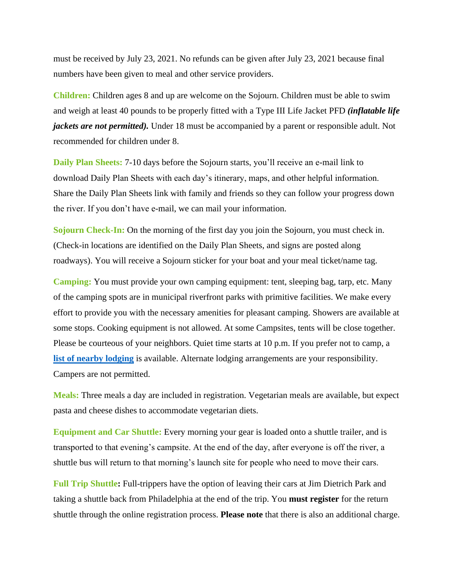must be received by July 23, 2021. No refunds can be given after July 23, 2021 because final numbers have been given to meal and other service providers.

**Children:** Children ages 8 and up are welcome on the Sojourn. Children must be able to swim and weigh at least 40 pounds to be properly fitted with a Type III Life Jacket PFD *(inflatable life jackets are not permitted*). Under 18 must be accompanied by a parent or responsible adult. Not recommended for children under 8.

**Daily Plan Sheets:** 7-10 days before the Sojourn starts, you'll receive an e-mail link to download Daily Plan Sheets with each day's itinerary, maps, and other helpful information. Share the Daily Plan Sheets link with family and friends so they can follow your progress down the river. If you don't have e-mail, we can mail your information.

**Sojourn Check-In:** On the morning of the first day you join the Sojourn, you must check in. (Check-in locations are identified on the Daily Plan Sheets, and signs are posted along roadways). You will receive a Sojourn sticker for your boat and your meal ticket/name tag.

**Camping:** You must provide your own camping equipment: tent, sleeping bag, tarp, etc. Many of the camping spots are in municipal riverfront parks with primitive facilities. We make every effort to provide you with the necessary amenities for pleasant camping. Showers are available at some stops. Cooking equipment is not allowed. At some Campsites, tents will be close together. Please be courteous of your neighbors. Quiet time starts at 10 p.m. If you prefer not to camp, a **[list of nearby lodging](https://schuylkillriver.org/wp-content/uploads/2019/03/Sojourn-Lodging-Suggestions.pdf)** is available. Alternate lodging arrangements are your responsibility. Campers are not permitted.

**Meals:** Three meals a day are included in registration. Vegetarian meals are available, but expect pasta and cheese dishes to accommodate vegetarian diets.

**Equipment and Car Shuttle:** Every morning your gear is loaded onto a shuttle trailer, and is transported to that evening's campsite. At the end of the day, after everyone is off the river, a shuttle bus will return to that morning's launch site for people who need to move their cars.

**Full Trip Shuttle:** Full-trippers have the option of leaving their cars at Jim Dietrich Park and taking a shuttle back from Philadelphia at the end of the trip. You **must register** for the return shuttle through the online registration process. **Please note** that there is also an additional charge.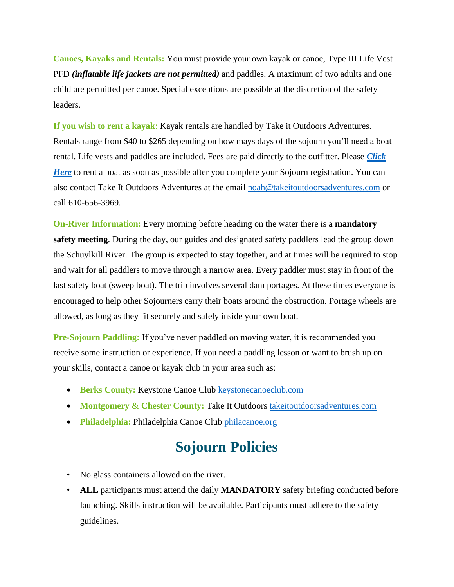**Canoes, Kayaks and Rentals:** You must provide your own kayak or canoe, Type III Life Vest PFD *(inflatable life jackets are not permitted)* and paddles. A maximum of two adults and one child are permitted per canoe. Special exceptions are possible at the discretion of the safety leaders.

**If you wish to rent a kayak**: Kayak rentals are handled by Take it Outdoors Adventures. Rentals range from \$40 to \$265 depending on how mays days of the sojourn you'll need a boat rental. Life vests and paddles are included. Fees are paid directly to the outfitter. Please *[Click](https://tio-llc.square.site/)  [Here](https://tio-llc.square.site/)* to rent a boat as soon as possible after you complete your Sojourn registration. You can also contact Take It Outdoors Adventures at the email [noah@takeitoutdoorsadventures.com](mailto:noah@takeitoutdoorsadventures.com) or call 610-656-3969.

**On-River Information:** Every morning before heading on the water there is a **mandatory safety meeting**. During the day, our guides and designated safety paddlers lead the group down the Schuylkill River. The group is expected to stay together, and at times will be required to stop and wait for all paddlers to move through a narrow area. Every paddler must stay in front of the last safety boat (sweep boat). The trip involves several dam portages. At these times everyone is encouraged to help other Sojourners carry their boats around the obstruction. Portage wheels are allowed, as long as they fit securely and safely inside your own boat.

**Pre-Sojourn Paddling:** If you've never paddled on moving water, it is recommended you receive some instruction or experience. If you need a paddling lesson or want to brush up on your skills, contact a canoe or kayak club in your area such as:

- **Berks County:** Keystone Canoe Club **keystonecanoeclub.com**
- **Montgomery & Chester County: Take It Outdoors [takeitoutdoorsadventures.com](http://www.takeitoutdoorsadventures.com/)**
- **Philadelphia:** Philadelphia Canoe Club [philacanoe.org](http://www.philacanoe.org/)

## **Sojourn Policies**

- No glass containers allowed on the river.
- ALL participants must attend the daily **MANDATORY** safety briefing conducted before launching. Skills instruction will be available. Participants must adhere to the safety guidelines.